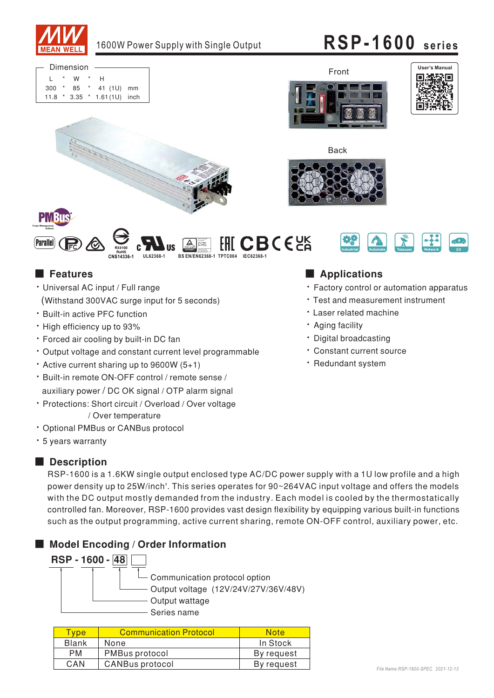

11.8 \* 3.35 \* 1.61(1U) inch Dimension  $\overline{L}$ 300 \* 85 W  $\mathsf{H}$ 41 (1U) mm @ @ @ @

Front







**BCE**<sub>CA</sub>





### ■ Features

• Universal AC input / Full range (Withstand 300VAC surge input for 5 seconds)

R33100 **RoHS** 

- Built-in active PFC function
- High efficiency up to 93%
- Forced air cooling by built-in DC fan
- Output voltage and constant current level programmable
- $\cdot$  Active current sharing up to 9600W (5+1)
- Built-in remote ON-OFF control / remote sense / auxiliary power / DC OK signal / OTP alarm signal
- Protections: Short circuit / Overload / Over voltage / Over temperature
- Optional PMBus or CANBus protocol
- \* 5 years warranty

### ■ **Description**

RSP-1600 is a 1.6KW single output enclosed type AC/DC power supply with a 1U low profile and a high power density up to 25W/inch<sup>s</sup>. This series operates for 90~264VAC input voltage and offers the models with the DC output mostly demanded from the industry. Each model is cooled by the thermostatically controlled fan. Moreover, RSP-1600 provides vast design flexibility by equipping various built-in functions such as the output programming, active current sharing, remote ON-OFF control, auxiliary power, etc.

**CNS14336-1 UL62368-1 BS EN/EN62368-1 TPTC004 IEC62368-1**

egel gebruikt t gepruft o s

### ■ Model Encoding / Order Information



| <u>I</u> vpe | <b>Communication Protocol</b> | <b>Note</b> |
|--------------|-------------------------------|-------------|
| Blank        | None                          | In Stock    |
| <b>PM</b>    | <b>PMBus protocol</b>         | By request  |
| CAN          | <b>CANBus protocol</b>        | By request  |

### **Applications**

- Factory control or automation apparatus
- $\cdot$  Test and measurement instrument
- Laser related machine
- Aging facility
- · Digital broadcasting
- · Constant current source
- · Redundant system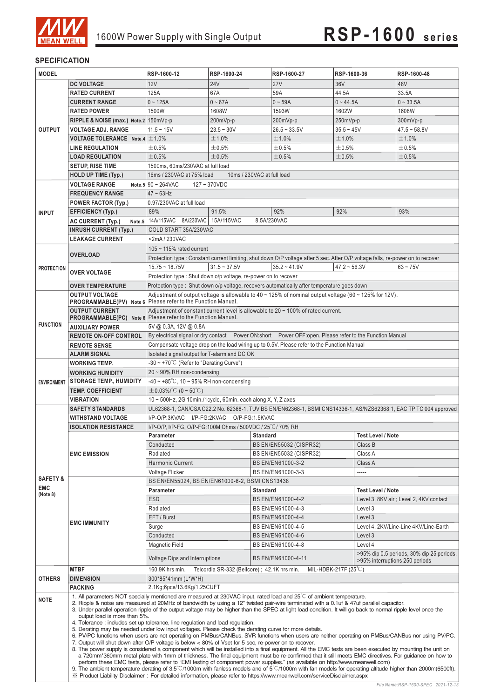

### **SPECIFICATION**

 $\frac{1}{2}$ 

| <b>MODEL</b>                                                                                             |                                                                                                                                                                                                                                                                                                                                                                                                                                                                                                                                                                                                                                                                                                                                                                                                                                                                                                                                                                                                                                                                                                                                                                                                                                                                                                                                                                                        | RSP-1600-12                                                                                                                        | RSP-1600-24                | RSP-1600-27                                                                                | RSP-1600-36                                                                                                                    | RSP-1600-48                                                                                                       |  |  |  |  |
|----------------------------------------------------------------------------------------------------------|----------------------------------------------------------------------------------------------------------------------------------------------------------------------------------------------------------------------------------------------------------------------------------------------------------------------------------------------------------------------------------------------------------------------------------------------------------------------------------------------------------------------------------------------------------------------------------------------------------------------------------------------------------------------------------------------------------------------------------------------------------------------------------------------------------------------------------------------------------------------------------------------------------------------------------------------------------------------------------------------------------------------------------------------------------------------------------------------------------------------------------------------------------------------------------------------------------------------------------------------------------------------------------------------------------------------------------------------------------------------------------------|------------------------------------------------------------------------------------------------------------------------------------|----------------------------|--------------------------------------------------------------------------------------------|--------------------------------------------------------------------------------------------------------------------------------|-------------------------------------------------------------------------------------------------------------------|--|--|--|--|
|                                                                                                          | <b>DC VOLTAGE</b>                                                                                                                                                                                                                                                                                                                                                                                                                                                                                                                                                                                                                                                                                                                                                                                                                                                                                                                                                                                                                                                                                                                                                                                                                                                                                                                                                                      | 12V                                                                                                                                | <b>24V</b>                 | 27V                                                                                        | 36V                                                                                                                            | 48V                                                                                                               |  |  |  |  |
|                                                                                                          | <b>RATED CURRENT</b>                                                                                                                                                                                                                                                                                                                                                                                                                                                                                                                                                                                                                                                                                                                                                                                                                                                                                                                                                                                                                                                                                                                                                                                                                                                                                                                                                                   | 125A                                                                                                                               | 67A                        | 59A                                                                                        | 44.5A                                                                                                                          | 33.5A                                                                                                             |  |  |  |  |
|                                                                                                          | <b>CURRENT RANGE</b>                                                                                                                                                                                                                                                                                                                                                                                                                                                                                                                                                                                                                                                                                                                                                                                                                                                                                                                                                                                                                                                                                                                                                                                                                                                                                                                                                                   | $0 - 125A$                                                                                                                         | $0 - 67A$                  | $0 - 59A$                                                                                  | $0 - 44.5A$                                                                                                                    | $0 - 33.5A$                                                                                                       |  |  |  |  |
|                                                                                                          | <b>RATED POWER</b>                                                                                                                                                                                                                                                                                                                                                                                                                                                                                                                                                                                                                                                                                                                                                                                                                                                                                                                                                                                                                                                                                                                                                                                                                                                                                                                                                                     | 1500W                                                                                                                              | 1608W                      | 1593W                                                                                      | 1602W                                                                                                                          | 1608W                                                                                                             |  |  |  |  |
|                                                                                                          | RIPPLE & NOISE (max.) Note.2 150mVp-p                                                                                                                                                                                                                                                                                                                                                                                                                                                                                                                                                                                                                                                                                                                                                                                                                                                                                                                                                                                                                                                                                                                                                                                                                                                                                                                                                  |                                                                                                                                    | 200mVp-p                   | 200mVp-p                                                                                   | 250mVp-p                                                                                                                       | 300mVp-p                                                                                                          |  |  |  |  |
| <b>OUTPUT</b>                                                                                            | <b>VOLTAGE ADJ. RANGE</b>                                                                                                                                                                                                                                                                                                                                                                                                                                                                                                                                                                                                                                                                                                                                                                                                                                                                                                                                                                                                                                                                                                                                                                                                                                                                                                                                                              | $11.5 - 15V$                                                                                                                       | $23.5 - 30V$               | $26.5 - 33.5V$                                                                             | $35.5 - 45V$                                                                                                                   | $47.5 - 58.8V$                                                                                                    |  |  |  |  |
|                                                                                                          | VOLTAGE TOLERANCE Note.4 $\pm$ 1.0%                                                                                                                                                                                                                                                                                                                                                                                                                                                                                                                                                                                                                                                                                                                                                                                                                                                                                                                                                                                                                                                                                                                                                                                                                                                                                                                                                    |                                                                                                                                    | ±1.0%                      | ±1.0%                                                                                      | ±1.0%                                                                                                                          | ±1.0%                                                                                                             |  |  |  |  |
|                                                                                                          | <b>LINE REGULATION</b>                                                                                                                                                                                                                                                                                                                                                                                                                                                                                                                                                                                                                                                                                                                                                                                                                                                                                                                                                                                                                                                                                                                                                                                                                                                                                                                                                                 | ±0.5%                                                                                                                              | ±0.5%                      | $\pm 0.5\%$                                                                                | ±0.5%                                                                                                                          | ±0.5%                                                                                                             |  |  |  |  |
|                                                                                                          | <b>LOAD REGULATION</b>                                                                                                                                                                                                                                                                                                                                                                                                                                                                                                                                                                                                                                                                                                                                                                                                                                                                                                                                                                                                                                                                                                                                                                                                                                                                                                                                                                 | ±0.5%                                                                                                                              | ±0.5%                      | ±0.5%                                                                                      | ±0.5%                                                                                                                          | ±0.5%                                                                                                             |  |  |  |  |
|                                                                                                          | <b>SETUP, RISE TIME</b>                                                                                                                                                                                                                                                                                                                                                                                                                                                                                                                                                                                                                                                                                                                                                                                                                                                                                                                                                                                                                                                                                                                                                                                                                                                                                                                                                                | 1500ms, 60ms/230VAC at full load                                                                                                   |                            |                                                                                            |                                                                                                                                |                                                                                                                   |  |  |  |  |
|                                                                                                          |                                                                                                                                                                                                                                                                                                                                                                                                                                                                                                                                                                                                                                                                                                                                                                                                                                                                                                                                                                                                                                                                                                                                                                                                                                                                                                                                                                                        | 16ms / 230VAC at 75% load                                                                                                          | 10ms / 230VAC at full load |                                                                                            |                                                                                                                                |                                                                                                                   |  |  |  |  |
|                                                                                                          | <b>HOLD UP TIME (Typ.)</b>                                                                                                                                                                                                                                                                                                                                                                                                                                                                                                                                                                                                                                                                                                                                                                                                                                                                                                                                                                                                                                                                                                                                                                                                                                                                                                                                                             |                                                                                                                                    | $127 - 370$ VDC            |                                                                                            |                                                                                                                                |                                                                                                                   |  |  |  |  |
|                                                                                                          | <b>VOLTAGE RANGE</b>                                                                                                                                                                                                                                                                                                                                                                                                                                                                                                                                                                                                                                                                                                                                                                                                                                                                                                                                                                                                                                                                                                                                                                                                                                                                                                                                                                   | Note.5 $90 \sim 264 \text{VAC}$                                                                                                    |                            |                                                                                            |                                                                                                                                |                                                                                                                   |  |  |  |  |
|                                                                                                          | <b>FREQUENCY RANGE</b>                                                                                                                                                                                                                                                                                                                                                                                                                                                                                                                                                                                                                                                                                                                                                                                                                                                                                                                                                                                                                                                                                                                                                                                                                                                                                                                                                                 | $47 - 63$ Hz                                                                                                                       |                            |                                                                                            |                                                                                                                                |                                                                                                                   |  |  |  |  |
|                                                                                                          | <b>POWER FACTOR (Typ.)</b>                                                                                                                                                                                                                                                                                                                                                                                                                                                                                                                                                                                                                                                                                                                                                                                                                                                                                                                                                                                                                                                                                                                                                                                                                                                                                                                                                             | 0.97/230VAC at full load                                                                                                           |                            |                                                                                            |                                                                                                                                |                                                                                                                   |  |  |  |  |
| <b>INPUT</b>                                                                                             | <b>EFFICIENCY (Typ.)</b>                                                                                                                                                                                                                                                                                                                                                                                                                                                                                                                                                                                                                                                                                                                                                                                                                                                                                                                                                                                                                                                                                                                                                                                                                                                                                                                                                               | 89%                                                                                                                                | 91.5%                      | 92%                                                                                        | 92%                                                                                                                            | 93%                                                                                                               |  |  |  |  |
|                                                                                                          | AC CURRENT (Typ.)                                                                                                                                                                                                                                                                                                                                                                                                                                                                                                                                                                                                                                                                                                                                                                                                                                                                                                                                                                                                                                                                                                                                                                                                                                                                                                                                                                      | Note.5 14A/115VAC 8A/230VAC 15A/115VAC                                                                                             |                            | 8.5A/230VAC                                                                                |                                                                                                                                |                                                                                                                   |  |  |  |  |
|                                                                                                          | <b>INRUSH CURRENT (Typ.)</b>                                                                                                                                                                                                                                                                                                                                                                                                                                                                                                                                                                                                                                                                                                                                                                                                                                                                                                                                                                                                                                                                                                                                                                                                                                                                                                                                                           | COLD START 35A/230VAC                                                                                                              |                            |                                                                                            |                                                                                                                                |                                                                                                                   |  |  |  |  |
|                                                                                                          | <b>LEAKAGE CURRENT</b>                                                                                                                                                                                                                                                                                                                                                                                                                                                                                                                                                                                                                                                                                                                                                                                                                                                                                                                                                                                                                                                                                                                                                                                                                                                                                                                                                                 | <2mA / 230VAC                                                                                                                      |                            |                                                                                            |                                                                                                                                |                                                                                                                   |  |  |  |  |
|                                                                                                          |                                                                                                                                                                                                                                                                                                                                                                                                                                                                                                                                                                                                                                                                                                                                                                                                                                                                                                                                                                                                                                                                                                                                                                                                                                                                                                                                                                                        | 105 $\sim$ 115% rated current                                                                                                      |                            |                                                                                            |                                                                                                                                |                                                                                                                   |  |  |  |  |
|                                                                                                          | <b>OVERLOAD</b>                                                                                                                                                                                                                                                                                                                                                                                                                                                                                                                                                                                                                                                                                                                                                                                                                                                                                                                                                                                                                                                                                                                                                                                                                                                                                                                                                                        |                                                                                                                                    |                            |                                                                                            | Protection type: Constant current limiting, shut down O/P voltage after 5 sec. After O/P voltage falls, re-power on to recover |                                                                                                                   |  |  |  |  |
| <b>PROTECTION</b>                                                                                        |                                                                                                                                                                                                                                                                                                                                                                                                                                                                                                                                                                                                                                                                                                                                                                                                                                                                                                                                                                                                                                                                                                                                                                                                                                                                                                                                                                                        | $15.75 \sim 18.75V$                                                                                                                | $31.5 - 37.5V$             | $35.2 - 41.9V$                                                                             | $47.2 - 56.3V$                                                                                                                 | $63 - 75V$                                                                                                        |  |  |  |  |
|                                                                                                          | <b>OVER VOLTAGE</b>                                                                                                                                                                                                                                                                                                                                                                                                                                                                                                                                                                                                                                                                                                                                                                                                                                                                                                                                                                                                                                                                                                                                                                                                                                                                                                                                                                    | Protection type : Shut down o/p voltage, re-power on to recover                                                                    |                            |                                                                                            |                                                                                                                                |                                                                                                                   |  |  |  |  |
|                                                                                                          | <b>OVER TEMPERATURE</b>                                                                                                                                                                                                                                                                                                                                                                                                                                                                                                                                                                                                                                                                                                                                                                                                                                                                                                                                                                                                                                                                                                                                                                                                                                                                                                                                                                |                                                                                                                                    |                            | Protection type: Shut down o/p voltage, recovers automatically after temperature goes down |                                                                                                                                |                                                                                                                   |  |  |  |  |
|                                                                                                          | <b>OUTPUT VOLTAGE</b>                                                                                                                                                                                                                                                                                                                                                                                                                                                                                                                                                                                                                                                                                                                                                                                                                                                                                                                                                                                                                                                                                                                                                                                                                                                                                                                                                                  |                                                                                                                                    |                            |                                                                                            | Adjustment of output voltage is allowable to $40 \times 125\%$ of nominal output voltage (60 $\sim$ 125% for 12V).             |                                                                                                                   |  |  |  |  |
|                                                                                                          | PROGRAMMABLE(PV) Note 6 Please refer to the Function Manual.                                                                                                                                                                                                                                                                                                                                                                                                                                                                                                                                                                                                                                                                                                                                                                                                                                                                                                                                                                                                                                                                                                                                                                                                                                                                                                                           |                                                                                                                                    |                            |                                                                                            |                                                                                                                                |                                                                                                                   |  |  |  |  |
|                                                                                                          | <b>OUTPUT CURRENT</b><br>PROGRAMMABLE(PC) Note 6 Please refer to the Function Manual.                                                                                                                                                                                                                                                                                                                                                                                                                                                                                                                                                                                                                                                                                                                                                                                                                                                                                                                                                                                                                                                                                                                                                                                                                                                                                                  |                                                                                                                                    |                            | Adjustment of constant current level is allowable to $20 \sim 100\%$ of rated current.     |                                                                                                                                |                                                                                                                   |  |  |  |  |
| <b>FUNCTION</b>                                                                                          |                                                                                                                                                                                                                                                                                                                                                                                                                                                                                                                                                                                                                                                                                                                                                                                                                                                                                                                                                                                                                                                                                                                                                                                                                                                                                                                                                                                        |                                                                                                                                    |                            |                                                                                            |                                                                                                                                |                                                                                                                   |  |  |  |  |
|                                                                                                          | <b>AUXILIARY POWER</b>                                                                                                                                                                                                                                                                                                                                                                                                                                                                                                                                                                                                                                                                                                                                                                                                                                                                                                                                                                                                                                                                                                                                                                                                                                                                                                                                                                 | 5V @ 0.3A, 12V @ 0.8A                                                                                                              |                            |                                                                                            |                                                                                                                                |                                                                                                                   |  |  |  |  |
|                                                                                                          | <b>REMOTE ON-OFF CONTROL</b>                                                                                                                                                                                                                                                                                                                                                                                                                                                                                                                                                                                                                                                                                                                                                                                                                                                                                                                                                                                                                                                                                                                                                                                                                                                                                                                                                           | By electrical signal or dry contact  Power ON:short  Power OFF:open. Please refer to the Function Manual                           |                            |                                                                                            |                                                                                                                                |                                                                                                                   |  |  |  |  |
|                                                                                                          | <b>REMOTE SENSE</b>                                                                                                                                                                                                                                                                                                                                                                                                                                                                                                                                                                                                                                                                                                                                                                                                                                                                                                                                                                                                                                                                                                                                                                                                                                                                                                                                                                    | Compensate voltage drop on the load wiring up to 0.5V. Please refer to the Function Manual                                         |                            |                                                                                            |                                                                                                                                |                                                                                                                   |  |  |  |  |
|                                                                                                          | <b>ALARM SIGNAL</b>                                                                                                                                                                                                                                                                                                                                                                                                                                                                                                                                                                                                                                                                                                                                                                                                                                                                                                                                                                                                                                                                                                                                                                                                                                                                                                                                                                    | Isolated signal output for T-alarm and DC OK                                                                                       |                            |                                                                                            |                                                                                                                                |                                                                                                                   |  |  |  |  |
|                                                                                                          | <b>WORKING TEMP.</b>                                                                                                                                                                                                                                                                                                                                                                                                                                                                                                                                                                                                                                                                                                                                                                                                                                                                                                                                                                                                                                                                                                                                                                                                                                                                                                                                                                   | $-30 \sim +70^{\circ}$ (Refer to "Derating Curve")                                                                                 |                            |                                                                                            |                                                                                                                                |                                                                                                                   |  |  |  |  |
| $20 \sim 90\%$ RH non-condensing<br><b>WORKING HUMIDITY</b>                                              |                                                                                                                                                                                                                                                                                                                                                                                                                                                                                                                                                                                                                                                                                                                                                                                                                                                                                                                                                                                                                                                                                                                                                                                                                                                                                                                                                                                        |                                                                                                                                    |                            |                                                                                            |                                                                                                                                |                                                                                                                   |  |  |  |  |
| <b>ENVIRONMENT</b>                                                                                       | <b>STORAGE TEMP., HUMIDITY</b>                                                                                                                                                                                                                                                                                                                                                                                                                                                                                                                                                                                                                                                                                                                                                                                                                                                                                                                                                                                                                                                                                                                                                                                                                                                                                                                                                         | $-40 - 85^{\circ}$ C, 10 ~ 95% RH non-condensing                                                                                   |                            |                                                                                            |                                                                                                                                |                                                                                                                   |  |  |  |  |
|                                                                                                          | <b>TEMP. COEFFICIENT</b>                                                                                                                                                                                                                                                                                                                                                                                                                                                                                                                                                                                                                                                                                                                                                                                                                                                                                                                                                                                                                                                                                                                                                                                                                                                                                                                                                               | $\pm$ 0.03%/°C (0~50°C)                                                                                                            |                            |                                                                                            |                                                                                                                                |                                                                                                                   |  |  |  |  |
|                                                                                                          | <b>VIBRATION</b>                                                                                                                                                                                                                                                                                                                                                                                                                                                                                                                                                                                                                                                                                                                                                                                                                                                                                                                                                                                                                                                                                                                                                                                                                                                                                                                                                                       | $10 \sim 500$ Hz, 2G 10min./1cycle, 60min. each along X, Y, Z axes                                                                 |                            |                                                                                            |                                                                                                                                |                                                                                                                   |  |  |  |  |
|                                                                                                          | <b>SAFETY STANDARDS</b>                                                                                                                                                                                                                                                                                                                                                                                                                                                                                                                                                                                                                                                                                                                                                                                                                                                                                                                                                                                                                                                                                                                                                                                                                                                                                                                                                                |                                                                                                                                    |                            |                                                                                            |                                                                                                                                | UL62368-1, CAN/CSA C22.2 No. 62368-1, TUV BS EN/EN62368-1, BSMI CNS14336-1, AS/NZS62368.1, EAC TP TC 004 approved |  |  |  |  |
|                                                                                                          | <b>WITHSTAND VOLTAGE</b>                                                                                                                                                                                                                                                                                                                                                                                                                                                                                                                                                                                                                                                                                                                                                                                                                                                                                                                                                                                                                                                                                                                                                                                                                                                                                                                                                               | I/P-O/P:3KVAC I/P-FG:2KVAC O/P-FG:1.5KVAC                                                                                          |                            |                                                                                            |                                                                                                                                |                                                                                                                   |  |  |  |  |
|                                                                                                          | <b>ISOLATION RESISTANCE</b>                                                                                                                                                                                                                                                                                                                                                                                                                                                                                                                                                                                                                                                                                                                                                                                                                                                                                                                                                                                                                                                                                                                                                                                                                                                                                                                                                            | I/P-O/P, I/P-FG, O/P-FG:100M Ohms / 500VDC / 25 °C / 70% RH                                                                        |                            |                                                                                            |                                                                                                                                |                                                                                                                   |  |  |  |  |
|                                                                                                          |                                                                                                                                                                                                                                                                                                                                                                                                                                                                                                                                                                                                                                                                                                                                                                                                                                                                                                                                                                                                                                                                                                                                                                                                                                                                                                                                                                                        | Parameter                                                                                                                          | <b>Standard</b>            | <b>Test Level / Note</b>                                                                   |                                                                                                                                |                                                                                                                   |  |  |  |  |
|                                                                                                          |                                                                                                                                                                                                                                                                                                                                                                                                                                                                                                                                                                                                                                                                                                                                                                                                                                                                                                                                                                                                                                                                                                                                                                                                                                                                                                                                                                                        | Conducted                                                                                                                          |                            | BS EN/EN55032 (CISPR32)                                                                    | Class B                                                                                                                        |                                                                                                                   |  |  |  |  |
|                                                                                                          | <b>EMC EMISSION</b>                                                                                                                                                                                                                                                                                                                                                                                                                                                                                                                                                                                                                                                                                                                                                                                                                                                                                                                                                                                                                                                                                                                                                                                                                                                                                                                                                                    | Radiated                                                                                                                           |                            | BS EN/EN55032 (CISPR32)                                                                    | Class A                                                                                                                        |                                                                                                                   |  |  |  |  |
|                                                                                                          |                                                                                                                                                                                                                                                                                                                                                                                                                                                                                                                                                                                                                                                                                                                                                                                                                                                                                                                                                                                                                                                                                                                                                                                                                                                                                                                                                                                        | <b>Harmonic Current</b>                                                                                                            |                            | BS EN/EN61000-3-2                                                                          | Class A                                                                                                                        |                                                                                                                   |  |  |  |  |
| <b>SAFETY &amp;</b>                                                                                      |                                                                                                                                                                                                                                                                                                                                                                                                                                                                                                                                                                                                                                                                                                                                                                                                                                                                                                                                                                                                                                                                                                                                                                                                                                                                                                                                                                                        | Voltage Flicker                                                                                                                    |                            | BS EN/EN61000-3-3                                                                          |                                                                                                                                |                                                                                                                   |  |  |  |  |
|                                                                                                          |                                                                                                                                                                                                                                                                                                                                                                                                                                                                                                                                                                                                                                                                                                                                                                                                                                                                                                                                                                                                                                                                                                                                                                                                                                                                                                                                                                                        | BS EN/EN55024, BS EN/EN61000-6-2, BSMI CNS13438                                                                                    |                            |                                                                                            |                                                                                                                                |                                                                                                                   |  |  |  |  |
| <b>EMC</b><br>(Note 8)                                                                                   |                                                                                                                                                                                                                                                                                                                                                                                                                                                                                                                                                                                                                                                                                                                                                                                                                                                                                                                                                                                                                                                                                                                                                                                                                                                                                                                                                                                        | Parameter                                                                                                                          | <b>Standard</b>            |                                                                                            | <b>Test Level / Note</b>                                                                                                       |                                                                                                                   |  |  |  |  |
|                                                                                                          |                                                                                                                                                                                                                                                                                                                                                                                                                                                                                                                                                                                                                                                                                                                                                                                                                                                                                                                                                                                                                                                                                                                                                                                                                                                                                                                                                                                        | <b>ESD</b>                                                                                                                         |                            | BS EN/EN61000-4-2                                                                          |                                                                                                                                | Level 3, 8KV air; Level 2, 4KV contact                                                                            |  |  |  |  |
|                                                                                                          |                                                                                                                                                                                                                                                                                                                                                                                                                                                                                                                                                                                                                                                                                                                                                                                                                                                                                                                                                                                                                                                                                                                                                                                                                                                                                                                                                                                        | Radiated                                                                                                                           |                            | BS EN/EN61000-4-3                                                                          | Level 3                                                                                                                        |                                                                                                                   |  |  |  |  |
|                                                                                                          | <b>EMC IMMUNITY</b>                                                                                                                                                                                                                                                                                                                                                                                                                                                                                                                                                                                                                                                                                                                                                                                                                                                                                                                                                                                                                                                                                                                                                                                                                                                                                                                                                                    | EFT / Burst                                                                                                                        |                            | BS EN/EN61000-4-4                                                                          | Level 3                                                                                                                        |                                                                                                                   |  |  |  |  |
|                                                                                                          |                                                                                                                                                                                                                                                                                                                                                                                                                                                                                                                                                                                                                                                                                                                                                                                                                                                                                                                                                                                                                                                                                                                                                                                                                                                                                                                                                                                        | Surge                                                                                                                              |                            | BS EN/EN61000-4-5                                                                          |                                                                                                                                | Level 4, 2KV/Line-Line 4KV/Line-Earth                                                                             |  |  |  |  |
|                                                                                                          |                                                                                                                                                                                                                                                                                                                                                                                                                                                                                                                                                                                                                                                                                                                                                                                                                                                                                                                                                                                                                                                                                                                                                                                                                                                                                                                                                                                        | Conducted                                                                                                                          |                            | BS EN/EN61000-4-6                                                                          | Level 3                                                                                                                        |                                                                                                                   |  |  |  |  |
|                                                                                                          |                                                                                                                                                                                                                                                                                                                                                                                                                                                                                                                                                                                                                                                                                                                                                                                                                                                                                                                                                                                                                                                                                                                                                                                                                                                                                                                                                                                        | Magnetic Field                                                                                                                     |                            | BS EN/EN61000-4-8                                                                          | Level 4                                                                                                                        |                                                                                                                   |  |  |  |  |
|                                                                                                          |                                                                                                                                                                                                                                                                                                                                                                                                                                                                                                                                                                                                                                                                                                                                                                                                                                                                                                                                                                                                                                                                                                                                                                                                                                                                                                                                                                                        | Voltage Dips and Interruptions                                                                                                     |                            | BS EN/EN61000-4-11                                                                         |                                                                                                                                | >95% dip 0.5 periods, 30% dip 25 periods,                                                                         |  |  |  |  |
|                                                                                                          | <b>MTBF</b>                                                                                                                                                                                                                                                                                                                                                                                                                                                                                                                                                                                                                                                                                                                                                                                                                                                                                                                                                                                                                                                                                                                                                                                                                                                                                                                                                                            | >95% interruptions 250 periods<br>Telcordia SR-332 (Bellcore); 42.1K hrs min.<br>160.9K hrs min.<br>MIL-HDBK-217F $(25^{\circ}$ C) |                            |                                                                                            |                                                                                                                                |                                                                                                                   |  |  |  |  |
| <b>OTHERS</b><br><b>DIMENSION</b><br>300*85*41mm (L*W*H)<br>2.1Kg;6pcs/13.6Kg/1.25CUFT<br><b>PACKING</b> |                                                                                                                                                                                                                                                                                                                                                                                                                                                                                                                                                                                                                                                                                                                                                                                                                                                                                                                                                                                                                                                                                                                                                                                                                                                                                                                                                                                        |                                                                                                                                    |                            |                                                                                            |                                                                                                                                |                                                                                                                   |  |  |  |  |
|                                                                                                          |                                                                                                                                                                                                                                                                                                                                                                                                                                                                                                                                                                                                                                                                                                                                                                                                                                                                                                                                                                                                                                                                                                                                                                                                                                                                                                                                                                                        |                                                                                                                                    |                            |                                                                                            |                                                                                                                                |                                                                                                                   |  |  |  |  |
| <b>NOTE</b>                                                                                              | 1. All parameters NOT specially mentioned are measured at 230VAC input, rated load and $25^{\circ}$ C of ambient temperature.<br>2. Ripple & noise are measured at 20MHz of bandwidth by using a 12" twisted pair-wire terminated with a 0.1uf & 47uf parallel capacitor.<br>3. Under parallel operation ripple of the output voltage may be higher than the SPEC at light load condition. It will go back to normal ripple level once the<br>output load is more than 5%.<br>4. Tolerance: includes set up tolerance, line regulation and load regulation.<br>5. Derating may be needed under low input voltages. Please check the derating curve for more details.<br>6. PV/PC functions when users are not operating on PMBus/CANBus. SVR functions when users are neither operating on PMBus/CANBus nor using PV/PC.<br>7. Output will shut down after O/P voltage is below < 80% of Vset for 5 sec, re-power on to recover.<br>8. The power supply is considered a component which will be installed into a final equipment. All the EMC tests are been executed by mounting the unit on<br>a 720mm*360mm metal plate with 1mm of thickness. The final equipment must be re-confirmed that it still meets EMC directives. For guidance on how to<br>perform these EMC tests, please refer to "EMI testing of component power supplies." (as available on http://www.meanwell.com) |                                                                                                                                    |                            |                                                                                            |                                                                                                                                |                                                                                                                   |  |  |  |  |
|                                                                                                          | 9. The ambient temperature derating of 3.5°C/1000m with fanless models and of 5°C/1000m with fan models for operating altitude higher than 2000m(6500ft).<br>X Product Liability Disclaimer: For detailed information, please refer to https://www.meanwell.com/serviceDisclaimer.aspx                                                                                                                                                                                                                                                                                                                                                                                                                                                                                                                                                                                                                                                                                                                                                                                                                                                                                                                                                                                                                                                                                                 |                                                                                                                                    |                            |                                                                                            |                                                                                                                                |                                                                                                                   |  |  |  |  |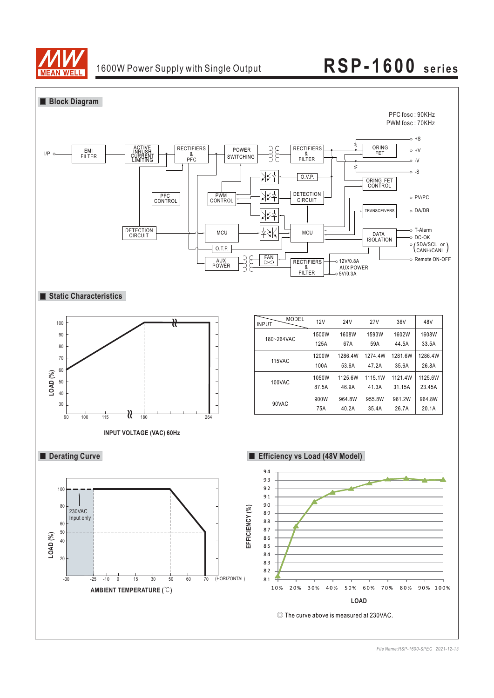

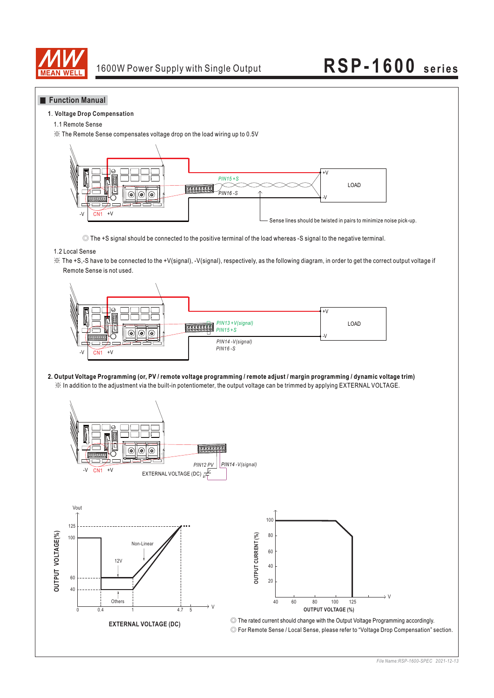

### **Function Manual**

#### **1**. **Voltage Drop Compensation**

1.1 Remote Sense

※ The Remote Sense compensates voltage drop on the load wiring up to 0.5V



◎ The +S signal should be connected to the positive terminal of the load whereas -S signal to the negative terminal.

### 1.2 Local Sense

※ The +S,-S have to be connected to the +V(signal), -V(signal), respectively, as the following diagram, in order to get the correct output voltage if Remote Sense is not used.



※ In addition to the adjustment via the built-in potentiometer, the output voltage can be trimmed by applying EXTERNAL VOLTAGE. **2. Output Voltage Programming (or, PV / remote voltage programming / remote adjust / margin programming / dynamic voltage trim)**

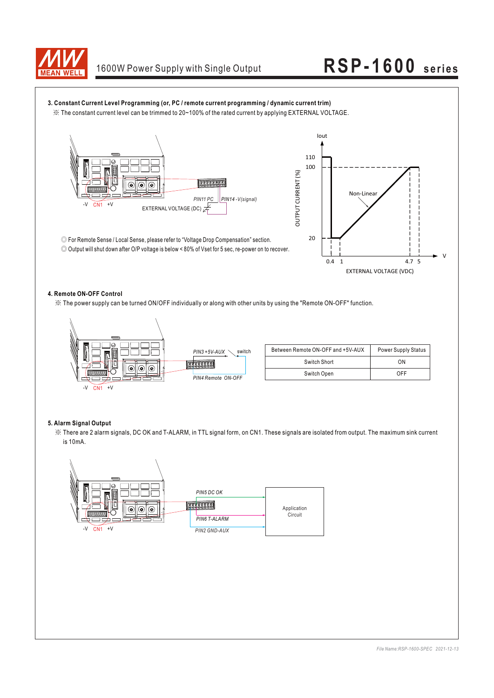



### **4. Remote ON-OFF Control**

※ The power supply can be turned ON/OFF individually or along with other units by using the "Remote ON-OFF" function.



| Between Remote ON-OFF and +5V-AUX | <b>Power Supply Status</b> |
|-----------------------------------|----------------------------|
| Switch Short                      | ΩN                         |
| Switch Open                       | <b>OFF</b>                 |

#### **5. Alarm Signal Output**

※ There are 2 alarm signals, DC OK and T-ALARM, in TTL signal form, on CN1. These signals are isolated from output. The maximum sink current is 10mA.

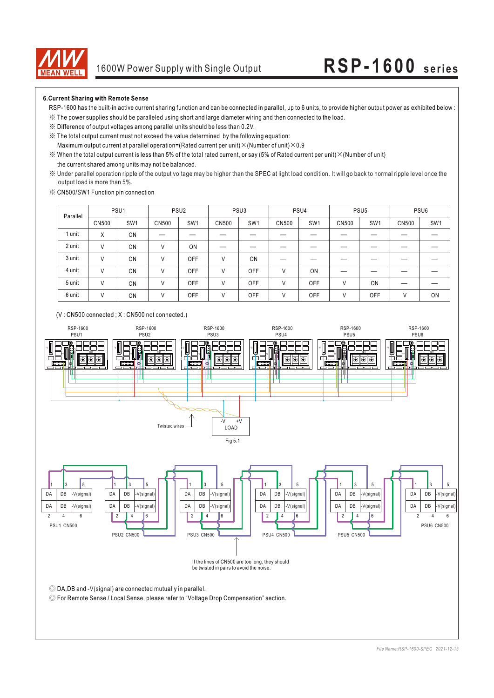

#### **6.Current Sharing with Remote Sense**

- RSP-1600 has the built-in active current sharing function and can be connected in parallel, up to 6 units, to provide higher output power as exhibited below :
- ※ The power supplies should be paralleled using short and large diameter wiring and then connected to the load.
- ※ Difference of output voltages among parallel units should be less than 0.2V.
- ※ The total output current must not exceed the value determined by the following equation:
- Maximum output current at parallel operation=(Rated current per unit) $\times$ (Number of unit) $\times$ 0.9
- the current shared among units may not be balanced.  $\%$  When the total output current is less than 5% of the total rated current, or say (5% of Rated current per unit)  $\times$  (Number of unit)
- ※ Under parallel operation ripple of the output voltage may be higher than the SPEC at light load condition. It will go back to normal ripple level once the output load is more than 5%.
- ※ CN500/SW1 Function pin connection

| Parallel |              | PSU <sub>1</sub> |              | PSU <sub>2</sub> |       | PSU <sub>3</sub> |       | PSU4            |       | PSU <sub>5</sub> |               | PSU <sub>6</sub> |
|----------|--------------|------------------|--------------|------------------|-------|------------------|-------|-----------------|-------|------------------|---------------|------------------|
|          | <b>CN500</b> | SW <sub>1</sub>  | <b>CN500</b> | SW <sub>1</sub>  | CN500 | SW <sub>1</sub>  | CN500 | SW <sub>1</sub> | CN500 | SW <sub>1</sub>  | CN500         | SW <sub>1</sub>  |
| 1 unit   | X            | ON               |              |                  |       |                  |       |                 |       |                  |               |                  |
| 2 unit   | ٧            | ON               | V            | ON               |       |                  |       |                 |       |                  |               |                  |
| 3 unit   | ν            | ON               |              | OFF              | V     | ON               |       |                 |       |                  |               |                  |
| 4 unit   | V            | ON               |              | OFF              | V     | <b>OFF</b>       | V     | ON              |       |                  |               |                  |
| 5 unit   | V            | ON               | V            | OFF              | V     | <b>OFF</b>       | V     | OFF             | ٧     | ON               |               |                  |
| 6 unit   | ٧            | ON               | V            | OFF              | V     | OFF              | V     | OFF             | ٧     | OFF              | $\mathcal{U}$ | ON               |



*File Name:RSP-1600-SPEC 2021-12-13*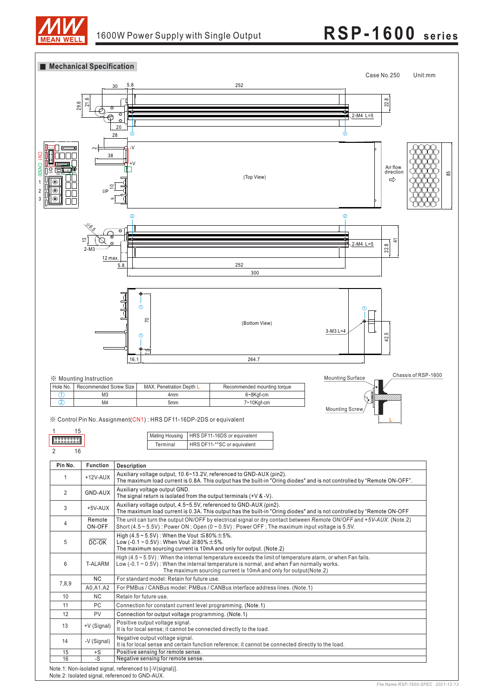



Note.2: Isolated signal, referenced to GND-AUX.